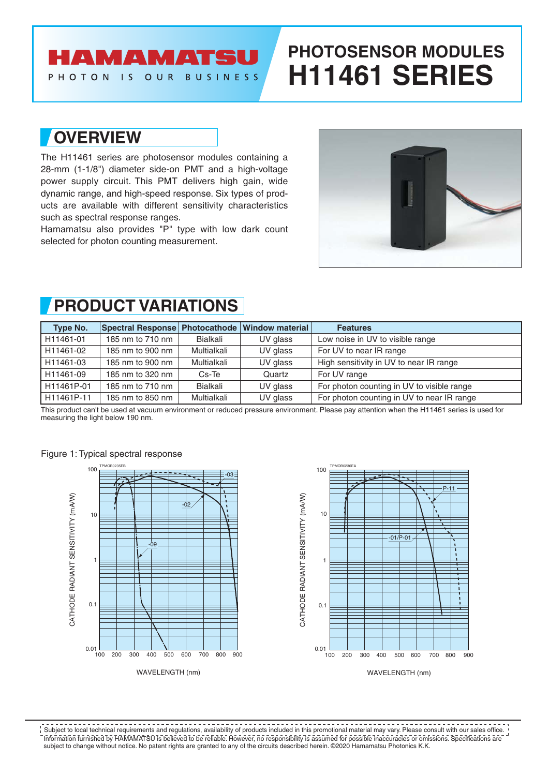## **AMAMATS**

PHOTON **BUSINESS**  $\overline{15}$ OUR

# **PHOTOSENSOR MODULES H11461 SERIES**

## **OVERVIEW**

The H11461 series are photosensor modules containing a 28-mm (1-1/8") diameter side-on PMT and a high-voltage power supply circuit. This PMT delivers high gain, wide dynamic range, and high-speed response. Six types of products are available with different sensitivity characteristics such as spectral response ranges.

Hamamatsu also provides "P" type with low dark count selected for photon counting measurement.



# **PRODUCT VARIATIONS**

| Type No.   | Spectral Response   Photocathode   Window material |             |          | <b>Features</b>                            |
|------------|----------------------------------------------------|-------------|----------|--------------------------------------------|
| H11461-01  | 185 nm to 710 nm                                   | Bialkali    | UV glass | Low noise in UV to visible range           |
| H11461-02  | 185 nm to 900 nm                                   | Multialkali | UV glass | For UV to near IR range                    |
| H11461-03  | 185 nm to 900 nm                                   | Multialkali | UV glass | High sensitivity in UV to near IR range    |
| H11461-09  | 185 nm to 320 nm                                   | Cs-Te       | Quartz   | For UV range                               |
| H11461P-01 | 185 nm to 710 nm                                   | Bialkali    | UV glass | For photon counting in UV to visible range |
| H11461P-11 | 185 nm to 850 nm                                   | Multialkali | UV glass | For photon counting in UV to near IR range |

This product can't be used at vacuum environment or reduced pressure environment. Please pay attention when the H11461 series is used for measuring the light below 190 nm.







Information furnished by HAMAMATSU is believed to be reliable. However, no responsibility is assumed for possible inaccuracies or omissions. Specifications are subject to change without notice. No patent rights are granted to any of the circuits described herein. ©2020 Hamamatsu Photonics K.K. Subject to local technical requirements and regulations, availability of products included in this promotional material may vary. Please consult with our sales office.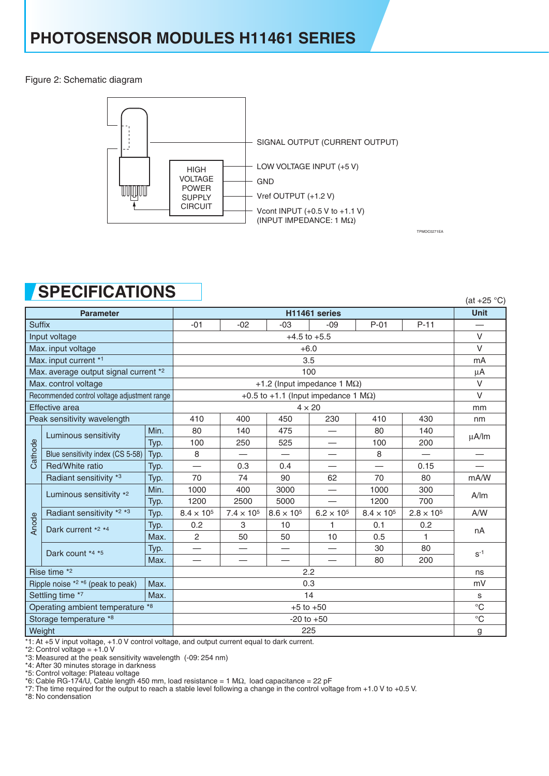Figure 2: Schematic diagram



TPMOC0271EA

# **SPECIFICATIONS**

|                                              | EVIL IVALIVITU                        |               |                          |                     |                     |                                 |                     |                     | (at $+25$ °C) |
|----------------------------------------------|---------------------------------------|---------------|--------------------------|---------------------|---------------------|---------------------------------|---------------------|---------------------|---------------|
|                                              | <b>Parameter</b>                      |               | <b>Unit</b>              |                     |                     |                                 |                     |                     |               |
| <b>Suffix</b>                                |                                       |               | $-01$                    | $-02$               | $-03$               | $-09$                           | $P-01$              | $P-11$              |               |
| Input voltage                                |                                       |               |                          | $\vee$              |                     |                                 |                     |                     |               |
| Max. input voltage                           |                                       |               |                          | $\vee$              |                     |                                 |                     |                     |               |
|                                              | Max. input current *1<br>3.5          |               |                          |                     |                     |                                 |                     | mA                  |               |
|                                              | Max. average output signal current *2 |               | $\mu$ A                  |                     |                     |                                 |                     |                     |               |
| Max. control voltage                         |                                       |               |                          | $\vee$              |                     |                                 |                     |                     |               |
| Recommended control voltage adjustment range |                                       |               |                          | $\vee$              |                     |                                 |                     |                     |               |
| Effective area                               |                                       |               |                          | mm                  |                     |                                 |                     |                     |               |
| Peak sensitivity wavelength                  |                                       |               | 410                      | 400                 | 450                 | 230                             | 410                 | 430                 | nm            |
|                                              | Luminous sensitivity                  | Min.          | 80                       | 140                 | 475                 | —                               | 80                  | 140                 | $\mu$ A/lm    |
|                                              |                                       | Typ.          | 100                      | 250                 | 525                 | $\hspace{0.1mm}-\hspace{0.1mm}$ | 100                 | 200                 |               |
| Cathode                                      | Blue sensitivity index (CS 5-58)      | Typ.          | 8                        |                     |                     |                                 | 8                   |                     |               |
|                                              | Red/White ratio                       | Typ.          | $\overline{\phantom{0}}$ | 0.3                 | 0.4                 |                                 |                     | 0.15                |               |
|                                              | Radiant sensitivity *3                | Typ.          | 70                       | 74                  | 90                  | 62                              | 70                  | 80                  | mA/W          |
|                                              | Luminous sensitivity *2               | Min.          | 1000                     | 400                 | 3000                |                                 | 1000                | 300                 | A/m           |
|                                              |                                       | Typ.          | 1200                     | 2500                | 5000                |                                 | 1200                | 700                 |               |
|                                              | Radiant sensitivity *2 *3             | Typ.          | $8.4 \times 10^{5}$      | $7.4 \times 10^{5}$ | $8.6 \times 10^{5}$ | $6.2 \times 10^{5}$             | $8.4 \times 10^{5}$ | $2.8 \times 10^{5}$ | A/W           |
| Anode                                        | Dark current *2 *4                    | Typ.          | 0.2                      | 3                   | 10                  | 1                               | 0.1                 | 0.2                 | nA            |
|                                              |                                       | Max.          | $\overline{2}$           | 50                  | 50                  | 10                              | 0.5                 | 1                   |               |
|                                              | Dark count *4 *5                      | Typ.          | $\overline{\phantom{0}}$ |                     | —                   |                                 | 30                  | 80                  | $S^{-1}$      |
|                                              |                                       | Max.          |                          |                     |                     |                                 | 80                  | 200                 |               |
|                                              | Rise time *2<br>2.2                   |               |                          |                     |                     | ns                              |                     |                     |               |
|                                              | Ripple noise *2 *6 (peak to peak)     | Max.          | 0.3                      |                     |                     |                                 | mV                  |                     |               |
| Settling time *7<br>Max.                     |                                       | 14            |                          |                     |                     |                                 |                     |                     |               |
| Operating ambient temperature *8             |                                       | $+5$ to $+50$ |                          |                     |                     |                                 |                     | $^{\circ}C$         |               |
| Storage temperature *8                       |                                       |               | $-20$ to $+50$           |                     |                     |                                 |                     |                     | $^{\circ}C$   |
| Weight                                       |                                       |               | 225                      |                     |                     |                                 |                     |                     |               |

\*1: At +5 V input voltage, +1.0 V control voltage, and output current equal to dark current.

\*2: Control voltage = +1.0 V

\*3: Measured at the peak sensitivity wavelength (-09: 254 nm)

\*4: After 30 minutes storage in darkness

\*5: Control voltage: Plateau voltage

\*6: Cable RG-174/U, Cable length 450 mm, load resistance = 1 MΩ, load capacitance = 22 pF

\*7: The time required for the output to reach a stable level following a change in the control voltage from +1.0 V to +0.5 V.

\*8: No condensation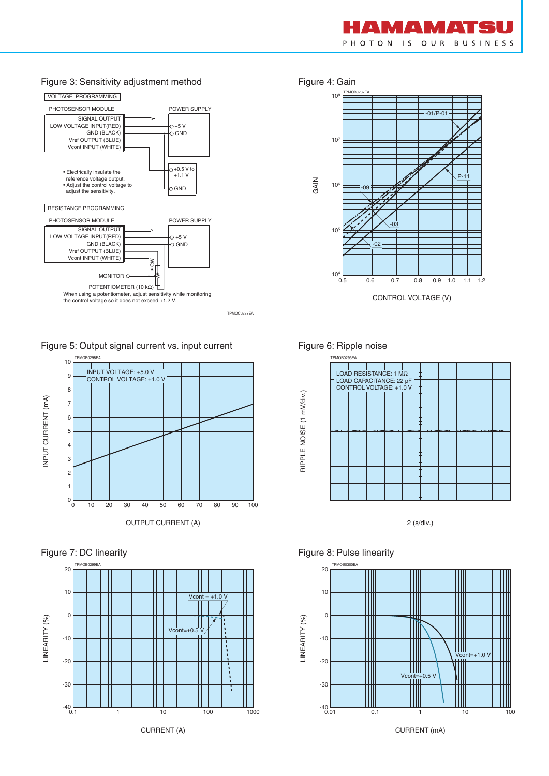

#### Figure 3: Sensitivity adjustment method Figure 4: Gain



TPMOC0238EA

Figure 5: Output signal current vs. input current



#### Figure 7: DC linearity







#### Figure 6: Ripple noise



2 (s/div.)

#### Figure 8: Pulse linearity